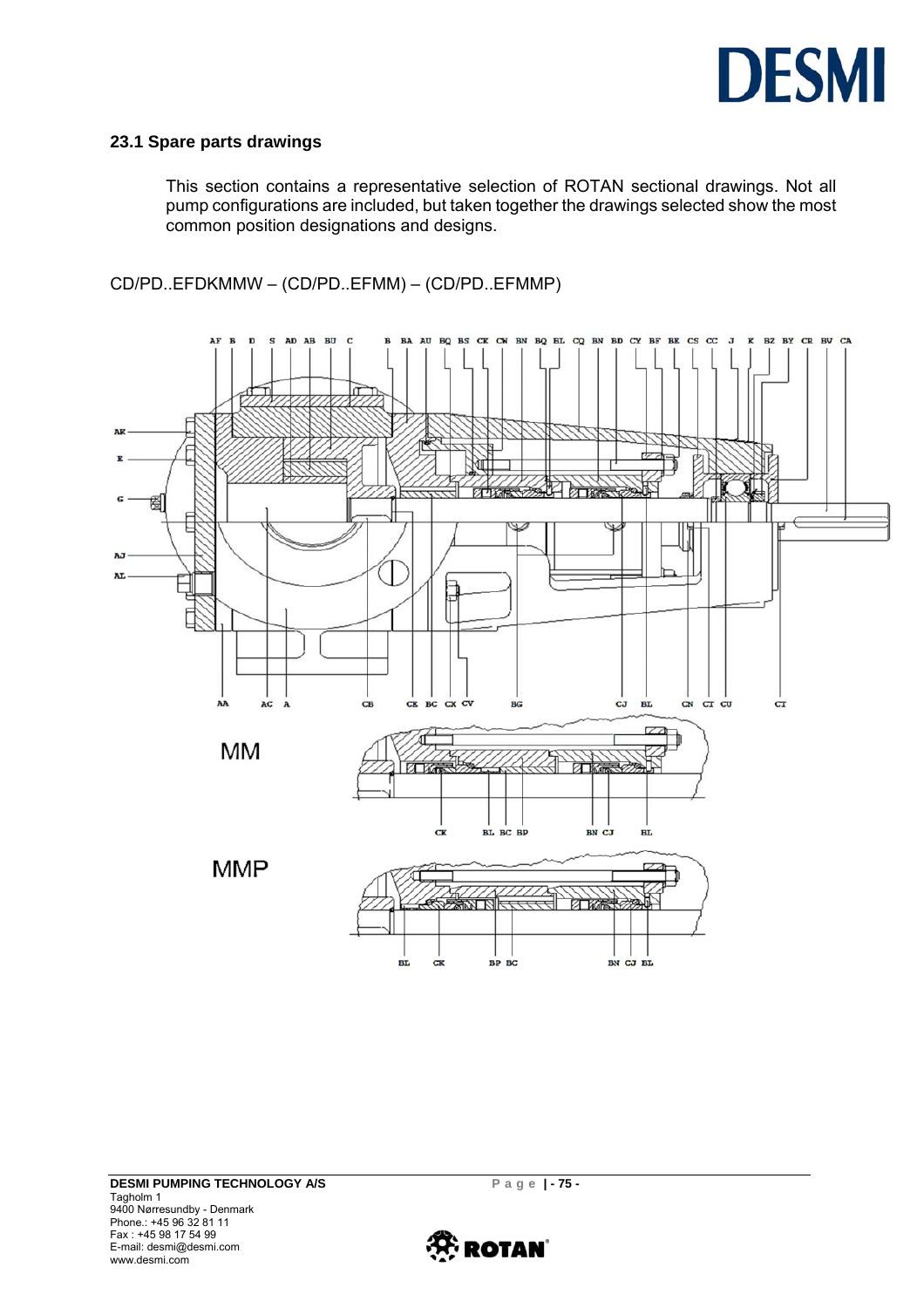

#### **23.1 Spare parts drawings**

This section contains a representative selection of ROTAN sectional drawings. Not all pump configurations are included, but taken together the drawings selected show the most common position designations and designs.

CD/PD..EFDKMMW – (CD/PD..EFMM) – (CD/PD..EFMMP)



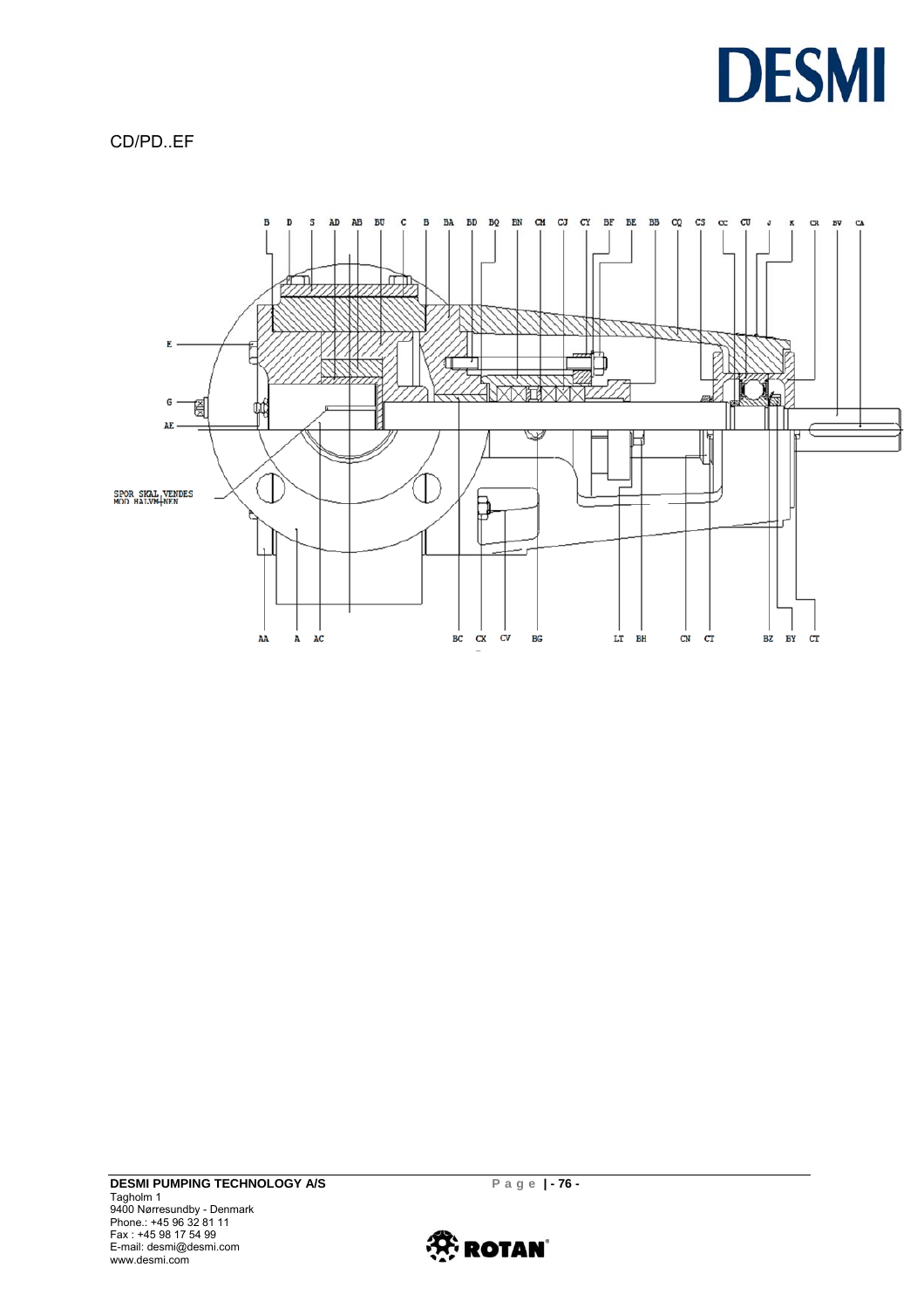

CD/PD..EF



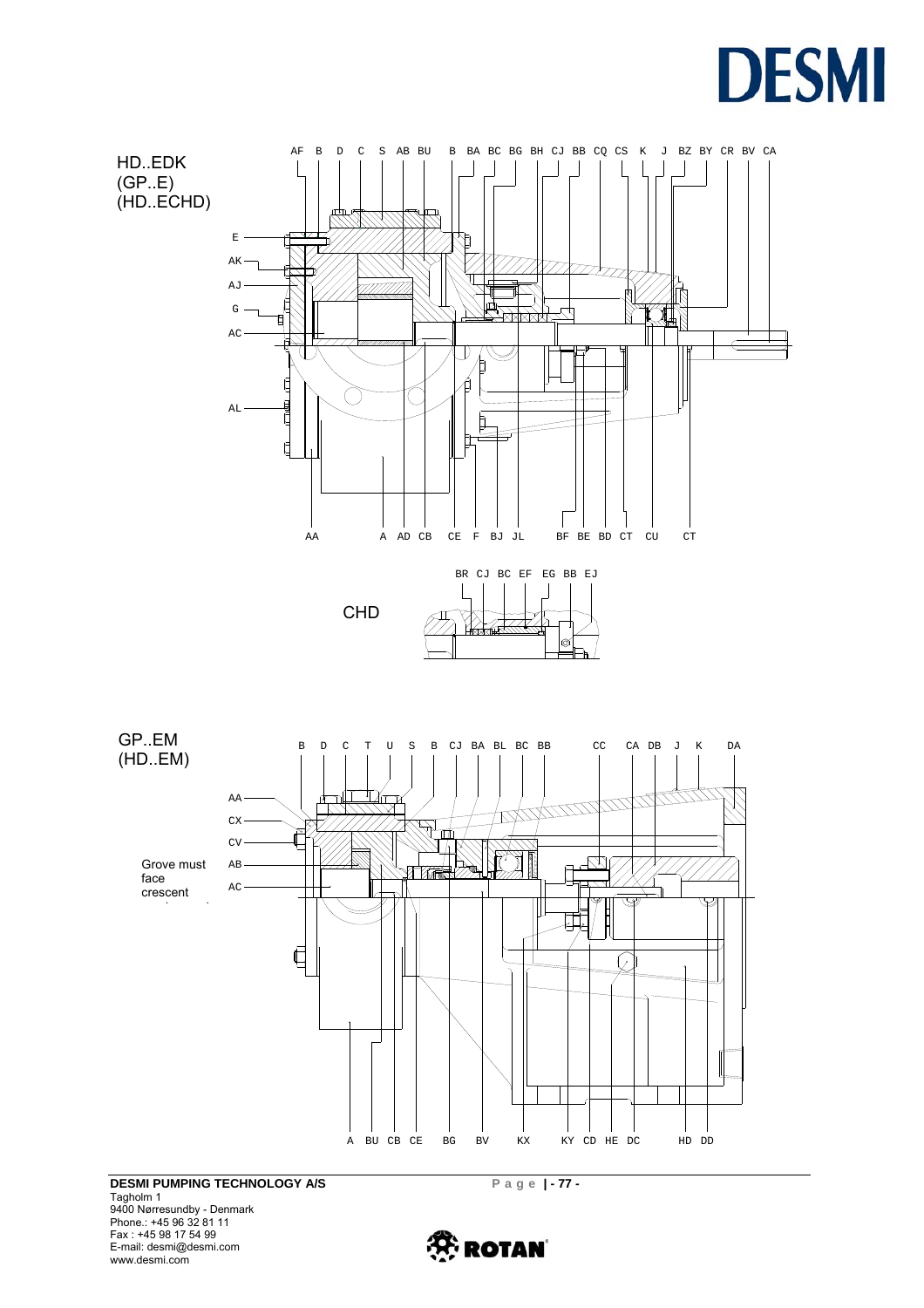



Tagholm 1 9400 Nørresundby - Denmark Phone.: +45 96 32 81 11 Fax : +45 98 17 54 99 E-mail: desmi@desmi.com www.desmi.com

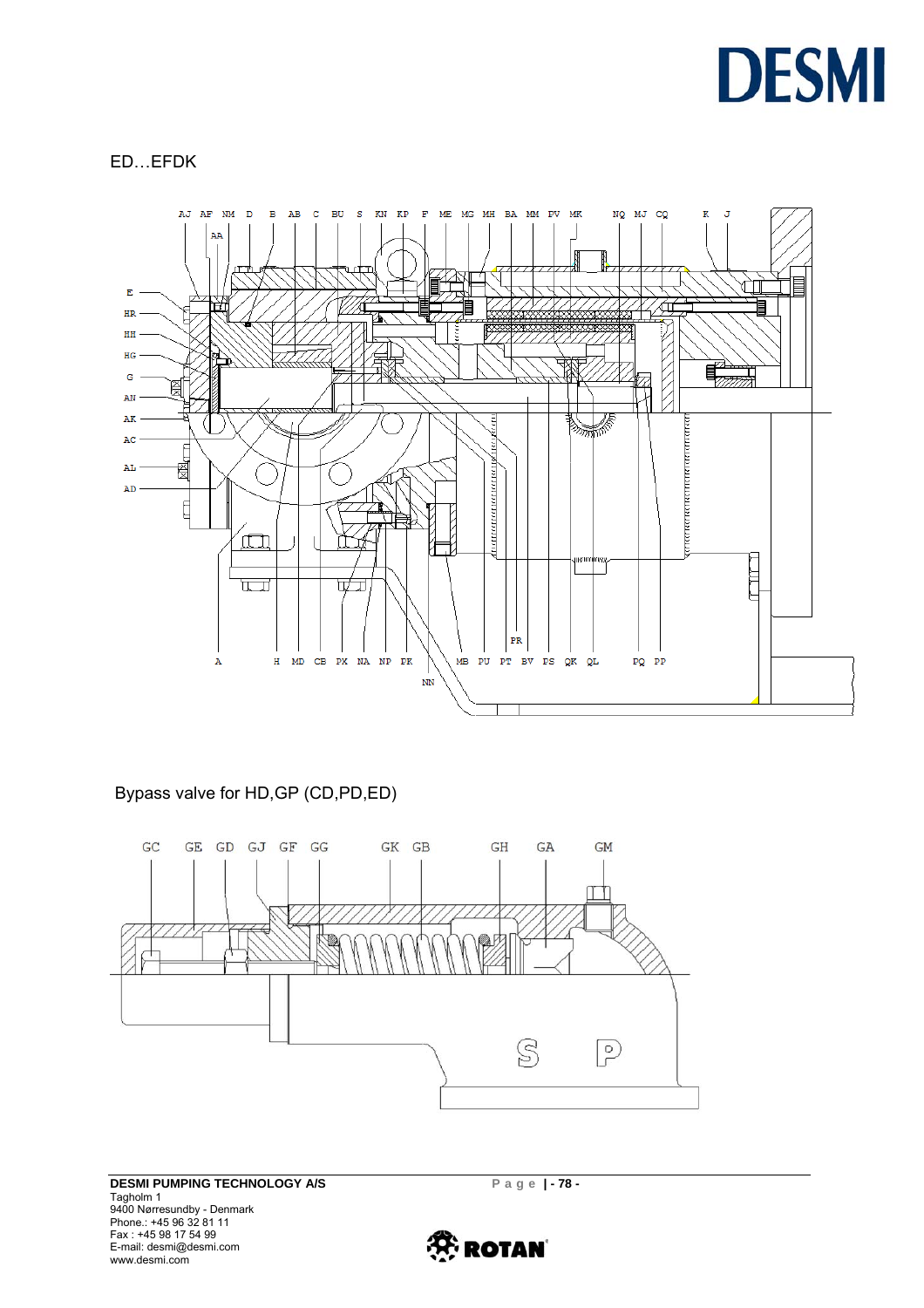

### ED…EFDK



### Bypass valve for HD,GP (CD,PD,ED)



**DESMI PUMPING TECHNOLOGY A/S** Page | - 78 -Tagholm 1 9400 Nørresundby - Denmark Phone.: +45 96 32 81 11 Fax : +45 98 17 54 99 E-mail: desmi@desmi.com www.desmi.com

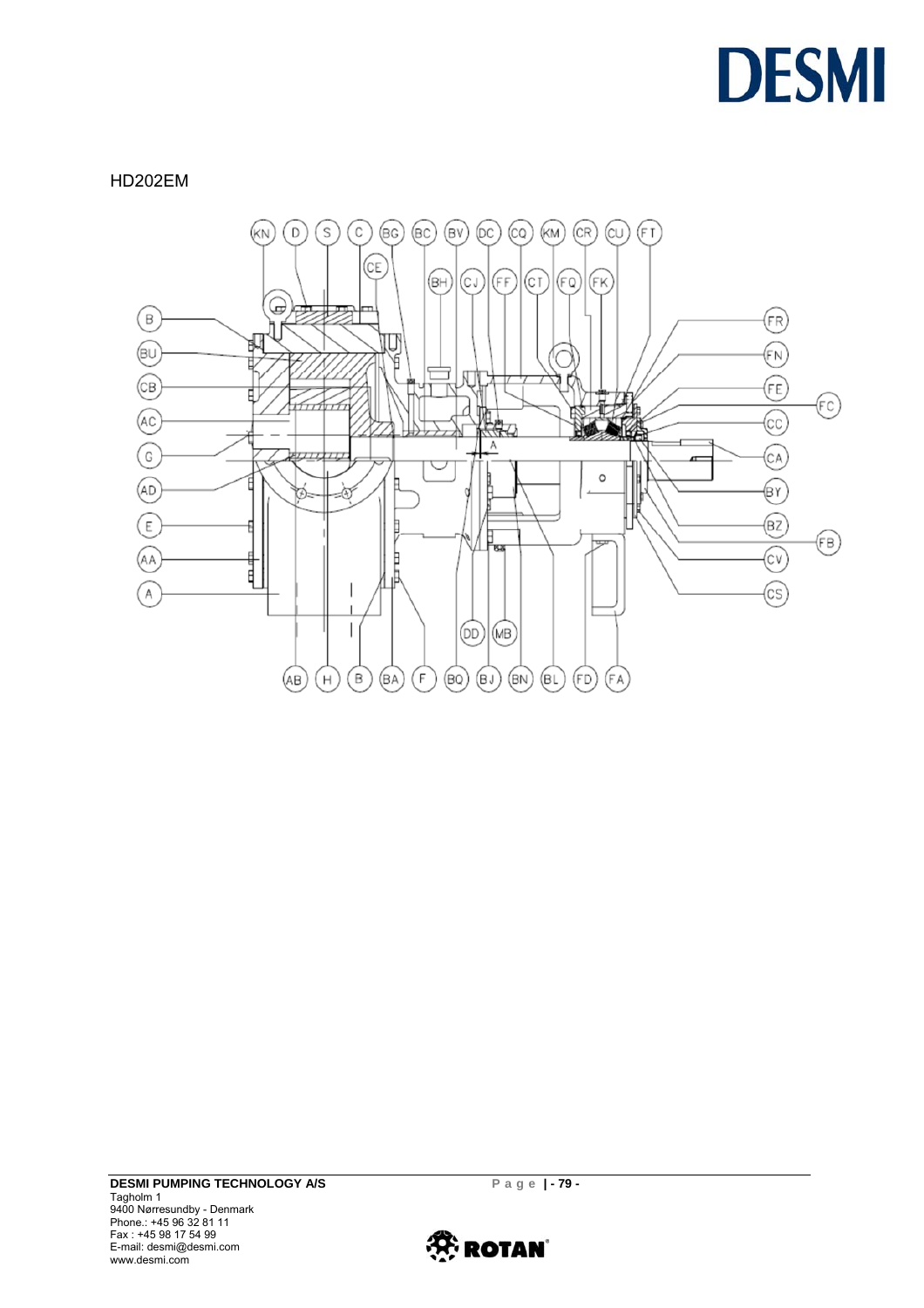

HD202EM



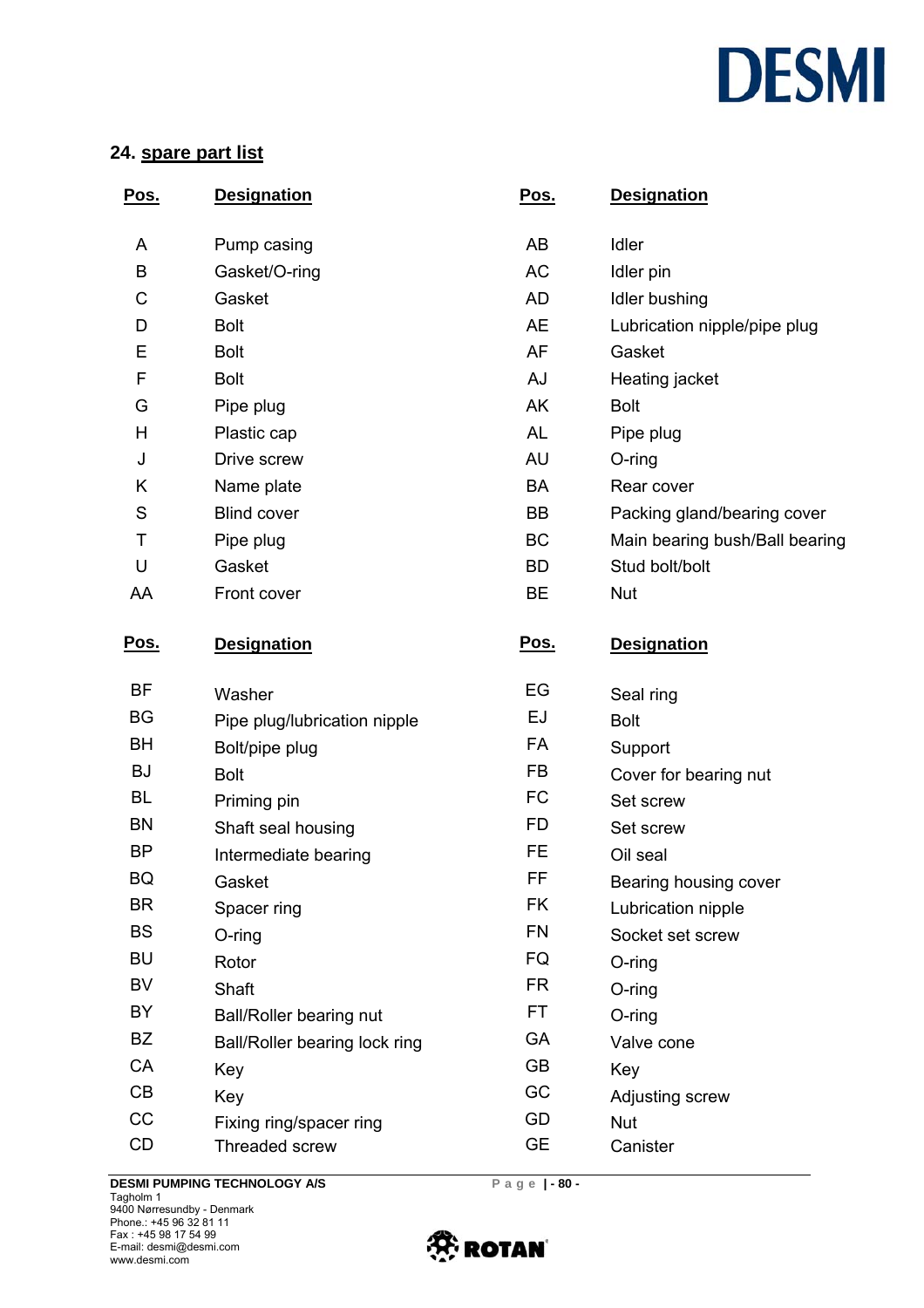# **DESMI**

## **24. spare part list**

| <u>Pos.</u> | <b>Designation</b>            | Pos.        | <b>Designation</b>             |  |
|-------------|-------------------------------|-------------|--------------------------------|--|
| A           | Pump casing                   | AB          | Idler                          |  |
| B           | Gasket/O-ring                 | <b>AC</b>   | Idler pin                      |  |
| C           | Gasket                        | <b>AD</b>   | Idler bushing                  |  |
| D           | <b>Bolt</b>                   | <b>AE</b>   | Lubrication nipple/pipe plug   |  |
| E           | <b>Bolt</b>                   | <b>AF</b>   | Gasket                         |  |
| F           | <b>Bolt</b>                   | AJ          | Heating jacket                 |  |
| G           | Pipe plug                     | AK          | <b>Bolt</b>                    |  |
| H           | Plastic cap                   | AL          | Pipe plug                      |  |
| J           | Drive screw                   | AU          | O-ring                         |  |
| Κ           | Name plate                    | BA          | Rear cover                     |  |
| S           | <b>Blind cover</b>            | BB          | Packing gland/bearing cover    |  |
| T           | Pipe plug                     | BC          | Main bearing bush/Ball bearing |  |
| U           | Gasket                        | <b>BD</b>   | Stud bolt/bolt                 |  |
| AA          | Front cover                   | BE          | <b>Nut</b>                     |  |
| <u>Pos.</u> | <b>Designation</b>            | <u>Pos.</u> | <b>Designation</b>             |  |
| BF          | Washer                        | EG          | Seal ring                      |  |
| BG          | Pipe plug/lubrication nipple  | EJ          | <b>Bolt</b>                    |  |
| BH          | Bolt/pipe plug                | FA          | Support                        |  |
| <b>BJ</b>   | <b>Bolt</b>                   | <b>FB</b>   | Cover for bearing nut          |  |
| <b>BL</b>   | Priming pin                   | <b>FC</b>   | Set screw                      |  |
| <b>BN</b>   | Shaft seal housing            | FD          | Set screw                      |  |
| <b>BP</b>   | Intermediate bearing          | <b>FE</b>   | Oil seal                       |  |
| BQ          | Gasket                        | FF          | Bearing housing cover          |  |
| <b>BR</b>   | Spacer ring                   | FK          | Lubrication nipple             |  |
| <b>BS</b>   | $O$ -ring                     | <b>FN</b>   | Socket set screw               |  |
| <b>BU</b>   | Rotor                         | FQ          | $O$ -ring                      |  |
| BV          | Shaft                         | <b>FR</b>   | O-ring                         |  |
| BY          | Ball/Roller bearing nut       | <b>FT</b>   | O-ring                         |  |
| <b>BZ</b>   | Ball/Roller bearing lock ring | GA          | Valve cone                     |  |
| CA          | Key                           | <b>GB</b>   | Key                            |  |
| CB          | Key                           | GC          | Adjusting screw                |  |
| CC          | Fixing ring/spacer ring       | GD          | <b>Nut</b>                     |  |
| CD          | Threaded screw                | <b>GE</b>   | Canister                       |  |

**DESMI PUMPING TECHNOLOGY A/S** Page |-80 -Tagholm 1 9400 Nørresundby - Denmark Phone.: +45 96 32 81 11 Fax : +45 98 17 54 99 E-mail: desmi@desmi.com www.desmi.com